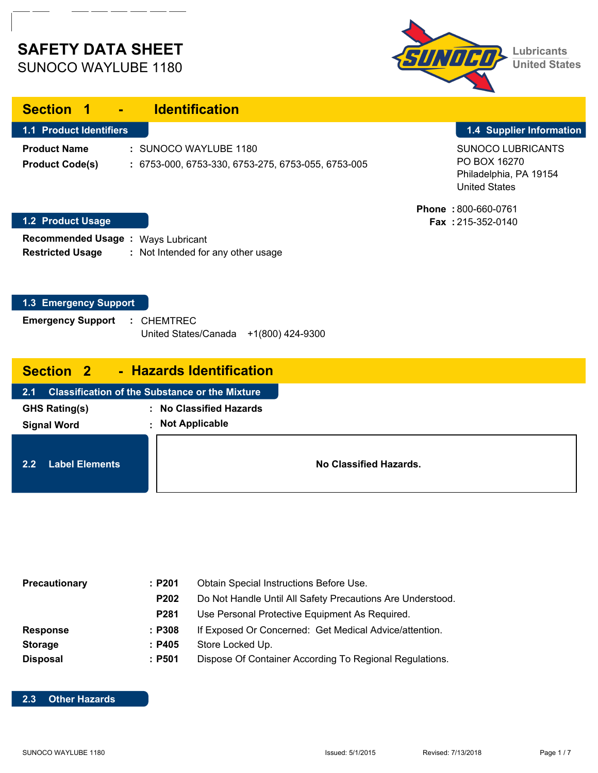# **SAFETY DATA SHEET**

| 3511 X 11 H 12 | <b>Lubricants</b><br><b>United States</b> |
|----------------|-------------------------------------------|
|                |                                           |

| SUNOCO WAYLUBE 1180 |  |
|---------------------|--|
|                     |  |

| <b>Section</b><br><b>TA</b>                          | <b>Identification</b><br>$\mathbf{m} \in \mathbb{R}^n$                        |                                                                                            |
|------------------------------------------------------|-------------------------------------------------------------------------------|--------------------------------------------------------------------------------------------|
| <b>1.1 Product Identifiers</b>                       |                                                                               | 1.4 Supplier Information                                                                   |
| <b>Product Name</b><br><b>Product Code(s)</b>        | : SUNOCO WAYLUBE 1180<br>$: 6753-000, 6753-330, 6753-275, 6753-055, 6753-005$ | <b>SUNOCO LUBRICANTS</b><br>PO BOX 16270<br>Philadelphia, PA 19154<br><b>United States</b> |
| <b>1.2 Product Usage</b>                             |                                                                               | <b>Phone: 800-660-0761</b><br><b>Fax</b> : $215-352-0140$                                  |
| <b>Recommended Usage:</b><br><b>Restricted Usage</b> | Ways Lubricant<br>: Not Intended for any other usage                          |                                                                                            |
|                                                      |                                                                               |                                                                                            |

#### **1.3 Emergency Support**

| <b>Emergency Support</b> |  | : CHEMTREC                            |  |
|--------------------------|--|---------------------------------------|--|
|                          |  | United States/Canada +1(800) 424-9300 |  |

| <b>Section 2</b> |  |  | <b>Hazards Identification</b> |
|------------------|--|--|-------------------------------|
|------------------|--|--|-------------------------------|

| 2.1 |                       | <b>Classification of the Substance or the Mixture</b> |
|-----|-----------------------|-------------------------------------------------------|
|     | <b>GHS Rating(s)</b>  | : No Classified Hazards                               |
|     | <b>Signal Word</b>    | <b>Not Applicable</b><br>٠                            |
|     |                       |                                                       |
| 2.2 | <b>Label Elements</b> |                                                       |

| Precautionary   | :P201            | Obtain Special Instructions Before Use.                    |
|-----------------|------------------|------------------------------------------------------------|
|                 | P <sub>202</sub> | Do Not Handle Until All Safety Precautions Are Understood. |
|                 | <b>P281</b>      | Use Personal Protective Equipment As Required.             |
| <b>Response</b> | : P308           | If Exposed Or Concerned: Get Medical Advice/attention.     |
| <b>Storage</b>  | : P405           | Store Locked Up.                                           |
| <b>Disposal</b> | : P501           | Dispose Of Container According To Regional Regulations.    |

#### **2.3 Other Hazards**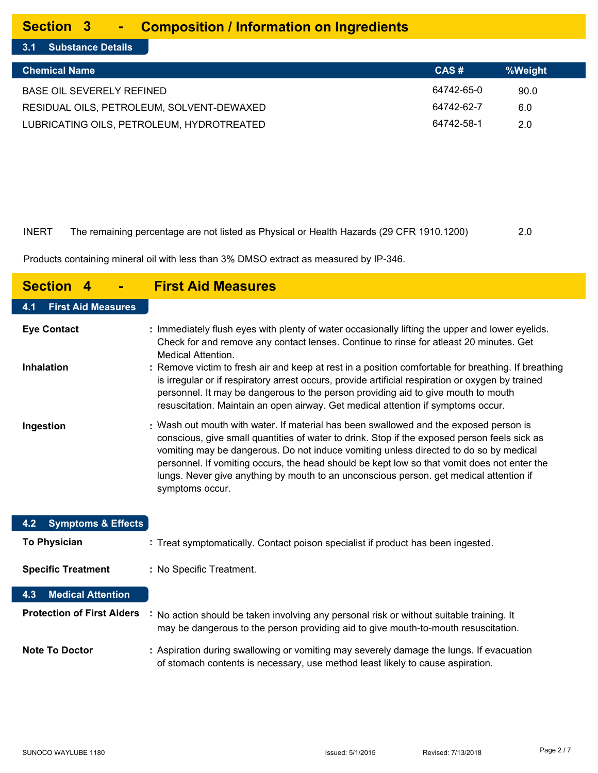#### **Section 3 - Composition / Information on Ingredients**

**3.1 Substance Details**

| <b>Chemical Name</b>                      | CAS#       | %Weight |
|-------------------------------------------|------------|---------|
| BASE OIL SEVERELY REFINED                 | 64742-65-0 | 90.0    |
| RESIDUAL OILS, PETROLEUM, SOLVENT-DEWAXED | 64742-62-7 | 6.0     |
| LUBRICATING OILS, PETROLEUM, HYDROTREATED | 64742-58-1 | 2.0     |

| <b>INERT</b> | The remaining percentage are not listed as Physical or Health Hazards (29 CFR 1910.1200) | 2.0 |
|--------------|------------------------------------------------------------------------------------------|-----|

Products containing mineral oil with less than 3% DMSO extract as measured by IP-346.

| <b>Section</b>                       | <b>First Aid Measures</b>                                                                                                                                                                                                                                                                                                                                                                                                                                                                  |
|--------------------------------------|--------------------------------------------------------------------------------------------------------------------------------------------------------------------------------------------------------------------------------------------------------------------------------------------------------------------------------------------------------------------------------------------------------------------------------------------------------------------------------------------|
| <b>First Aid Measures</b><br>4.1     |                                                                                                                                                                                                                                                                                                                                                                                                                                                                                            |
| <b>Eye Contact</b>                   | : Immediately flush eyes with plenty of water occasionally lifting the upper and lower eyelids.<br>Check for and remove any contact lenses. Continue to rinse for atleast 20 minutes. Get<br><b>Medical Attention.</b>                                                                                                                                                                                                                                                                     |
| <b>Inhalation</b>                    | : Remove victim to fresh air and keep at rest in a position comfortable for breathing. If breathing<br>is irregular or if respiratory arrest occurs, provide artificial respiration or oxygen by trained<br>personnel. It may be dangerous to the person providing aid to give mouth to mouth<br>resuscitation. Maintain an open airway. Get medical attention if symptoms occur.                                                                                                          |
| Ingestion                            | : Wash out mouth with water. If material has been swallowed and the exposed person is<br>conscious, give small quantities of water to drink. Stop if the exposed person feels sick as<br>vomiting may be dangerous. Do not induce vomiting unless directed to do so by medical<br>personnel. If vomiting occurs, the head should be kept low so that vomit does not enter the<br>lungs. Never give anything by mouth to an unconscious person. get medical attention if<br>symptoms occur. |
| <b>Symptoms &amp; Effects</b><br>4.2 |                                                                                                                                                                                                                                                                                                                                                                                                                                                                                            |
| <b>To Physician</b>                  | : Treat symptomatically. Contact poison specialist if product has been ingested.                                                                                                                                                                                                                                                                                                                                                                                                           |
| <b>Specific Treatment</b>            | : No Specific Treatment.                                                                                                                                                                                                                                                                                                                                                                                                                                                                   |
| <b>Medical Attention</b><br>4.3      |                                                                                                                                                                                                                                                                                                                                                                                                                                                                                            |
| <b>Protection of First Aiders</b>    | : No action should be taken involving any personal risk or without suitable training. It<br>may be dangerous to the person providing aid to give mouth-to-mouth resuscitation.                                                                                                                                                                                                                                                                                                             |
| <b>Note To Doctor</b>                | : Aspiration during swallowing or vomiting may severely damage the lungs. If evacuation<br>of stomach contents is necessary, use method least likely to cause aspiration.                                                                                                                                                                                                                                                                                                                  |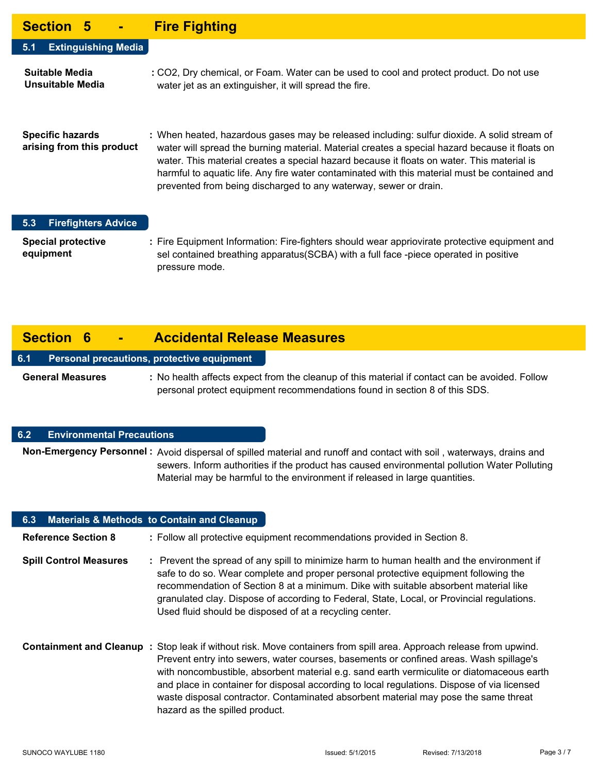### **Section 5 - Fire Fighting**

| UUULIVII V                                           | <u> 118 1 1911.1119</u>                                                                                                                                                                                                                                                                                                                                                                                                                                          |
|------------------------------------------------------|------------------------------------------------------------------------------------------------------------------------------------------------------------------------------------------------------------------------------------------------------------------------------------------------------------------------------------------------------------------------------------------------------------------------------------------------------------------|
| <b>Extinguishing Media</b><br>5.1                    |                                                                                                                                                                                                                                                                                                                                                                                                                                                                  |
| Suitable Media<br>Unsuitable Media                   | : CO2, Dry chemical, or Foam. Water can be used to cool and protect product. Do not use<br>water jet as an extinguisher, it will spread the fire.                                                                                                                                                                                                                                                                                                                |
| <b>Specific hazards</b><br>arising from this product | : When heated, hazardous gases may be released including: sulfur dioxide. A solid stream of<br>water will spread the burning material. Material creates a special hazard because it floats on<br>water. This material creates a special hazard because it floats on water. This material is<br>harmful to aquatic life. Any fire water contaminated with this material must be contained and<br>prevented from being discharged to any waterway, sewer or drain. |

#### **5.3 Firefighters Advice**

**Special protective : equipment** Fire Equipment Information: Fire-fighters should wear appriovirate protective equipment and sel contained breathing apparatus(SCBA) with a full face -piece operated in positive pressure mode.

## **Section 6 - Accidental Release Measures**

#### **6.1 Personal precautions, protective equipment**

General Measures : No health affects expect from the cleanup of this material if contact can be avoided. Follow personal protect equipment recommendations found in section 8 of this SDS.

#### **6.2 Environmental Precautions**

Non-Emergency Personnel : Avoid dispersal of spilled material and runoff and contact with soil, waterways, drains and sewers. Inform authorities if the product has caused environmental pollution Water Polluting Material may be harmful to the environment if released in large quantities.

| 6.3                           | <b>Materials &amp; Methods to Contain and Cleanup</b>                                                                                                                                                                                                                                                                                                                                                                                                                                                                                     |
|-------------------------------|-------------------------------------------------------------------------------------------------------------------------------------------------------------------------------------------------------------------------------------------------------------------------------------------------------------------------------------------------------------------------------------------------------------------------------------------------------------------------------------------------------------------------------------------|
| <b>Reference Section 8</b>    | : Follow all protective equipment recommendations provided in Section 8.                                                                                                                                                                                                                                                                                                                                                                                                                                                                  |
| <b>Spill Control Measures</b> | : Prevent the spread of any spill to minimize harm to human health and the environment if<br>safe to do so. Wear complete and proper personal protective equipment following the<br>recommendation of Section 8 at a minimum. Dike with suitable absorbent material like<br>granulated clay. Dispose of according to Federal, State, Local, or Provincial regulations.<br>Used fluid should be disposed of at a recycling center.                                                                                                         |
|                               | <b>Containment and Cleanup</b> : Stop leak if without risk. Move containers from spill area. Approach release from upwind.<br>Prevent entry into sewers, water courses, basements or confined areas. Wash spillage's<br>with noncombustible, absorbent material e.g. sand earth vermiculite or diatomaceous earth<br>and place in container for disposal according to local regulations. Dispose of via licensed<br>waste disposal contractor. Contaminated absorbent material may pose the same threat<br>hazard as the spilled product. |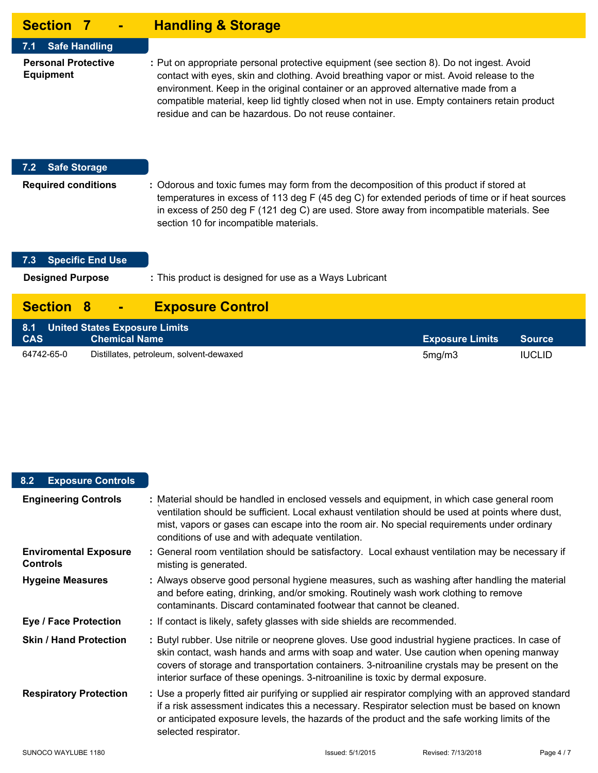| <b>Section 7</b>                                                                  | <b>Handling &amp; Storage</b>                                                                                                                                                                                                                                                                                                                                                                                                         |
|-----------------------------------------------------------------------------------|---------------------------------------------------------------------------------------------------------------------------------------------------------------------------------------------------------------------------------------------------------------------------------------------------------------------------------------------------------------------------------------------------------------------------------------|
| <b>Safe Handling</b><br>7.1<br><b>Personal Protective</b><br><b>Equipment</b>     | : Put on appropriate personal protective equipment (see section 8). Do not ingest. Avoid<br>contact with eyes, skin and clothing. Avoid breathing vapor or mist. Avoid release to the<br>environment. Keep in the original container or an approved alternative made from a<br>compatible material, keep lid tightly closed when not in use. Empty containers retain product<br>residue and can be hazardous. Do not reuse container. |
| <b>Safe Storage</b><br>7.2<br><b>Required conditions</b>                          | : Odorous and toxic fumes may form from the decomposition of this product if stored at<br>temperatures in excess of 113 deg F (45 deg C) for extended periods of time or if heat sources<br>in excess of 250 deg F (121 deg C) are used. Store away from incompatible materials. See<br>section 10 for incompatible materials.                                                                                                        |
| <b>Specific End Use</b><br>7.3<br><b>Designed Purpose</b>                         | : This product is designed for use as a Ways Lubricant                                                                                                                                                                                                                                                                                                                                                                                |
| <b>Section</b><br>8                                                               | <b>Exposure Control</b>                                                                                                                                                                                                                                                                                                                                                                                                               |
| <b>United States Exposure Limits</b><br>8.1<br><b>Chemical Name</b><br><b>CAS</b> | <b>Exposure Limits</b><br><b>Source</b>                                                                                                                                                                                                                                                                                                                                                                                               |

#### **8.2 Exposure Controls**

64742-65-0 Distillates, petroleum, solvent-dewaxed

| <b>Engineering Controls</b>                     | : Material should be handled in enclosed vessels and equipment, in which case general room<br>ventilation should be sufficient. Local exhaust ventilation should be used at points where dust,<br>mist, vapors or gases can escape into the room air. No special requirements under ordinary<br>conditions of use and with adequate ventilation.                                 |
|-------------------------------------------------|----------------------------------------------------------------------------------------------------------------------------------------------------------------------------------------------------------------------------------------------------------------------------------------------------------------------------------------------------------------------------------|
| <b>Enviromental Exposure</b><br><b>Controls</b> | : General room ventilation should be satisfactory. Local exhaust ventilation may be necessary if<br>misting is generated.                                                                                                                                                                                                                                                        |
| <b>Hygeine Measures</b>                         | : Always observe good personal hygiene measures, such as washing after handling the material<br>and before eating, drinking, and/or smoking. Routinely wash work clothing to remove<br>contaminants. Discard contaminated footwear that cannot be cleaned.                                                                                                                       |
| Eye / Face Protection                           | : If contact is likely, safety glasses with side shields are recommended.                                                                                                                                                                                                                                                                                                        |
| <b>Skin / Hand Protection</b>                   | : Butyl rubber. Use nitrile or neoprene gloves. Use good industrial hygiene practices. In case of<br>skin contact, wash hands and arms with soap and water. Use caution when opening manway<br>covers of storage and transportation containers. 3-nitroaniline crystals may be present on the<br>interior surface of these openings. 3-nitroaniline is toxic by dermal exposure. |
| <b>Respiratory Protection</b>                   | : Use a properly fitted air purifying or supplied air respirator complying with an approved standard<br>if a risk assessment indicates this a necessary. Respirator selection must be based on known<br>or anticipated exposure levels, the hazards of the product and the safe working limits of the<br>selected respirator.                                                    |

5mg/m3 IUCLID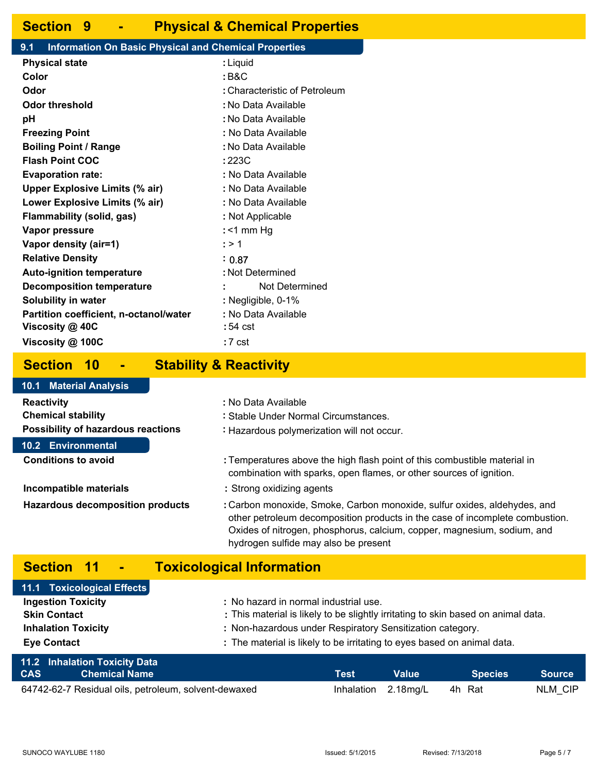## **Section 9 - Physical & Chemical Properties**

#### **9.1 Information On Basic Physical and Chemical Properties**

| <b>Physical state</b>                  | : Liquid                      |
|----------------------------------------|-------------------------------|
| Color                                  | : B&C                         |
| Odor                                   | : Characteristic of Petroleum |
| <b>Odor threshold</b>                  | : No Data Available           |
| рH                                     | : No Data Available           |
| <b>Freezing Point</b>                  | : No Data Available           |
| <b>Boiling Point / Range</b>           | : No Data Available           |
| <b>Flash Point COC</b>                 | :223C                         |
| <b>Evaporation rate:</b>               | : No Data Available           |
| <b>Upper Explosive Limits (% air)</b>  | : No Data Available           |
| Lower Explosive Limits (% air)         | : No Data Available           |
| Flammability (solid, gas)              | : Not Applicable              |
| <b>Vapor pressure</b>                  | $:$ <1 mm Hg                  |
| Vapor density (air=1)                  | : > 1                         |
| <b>Relative Density</b>                | : 0.87                        |
| <b>Auto-ignition temperature</b>       | : Not Determined              |
| <b>Decomposition temperature</b>       | Not Determined                |
| <b>Solubility in water</b>             | : Negligible, 0-1%            |
| Partition coefficient, n-octanol/water | : No Data Available           |
| Viscosity @ 40C                        | :54 cst                       |
| Viscosity @ 100C                       | : 7 cst                       |
|                                        |                               |

#### **Section 10 - Stability & Reactivity**

#### **Reactivity : Chemical stability : Possibility of hazardous reactions :** : No Data Available Stable Under Normal Circumstances. : Hazardous polymerization will not occur. Temperatures above the high flash point of this combustible material in combination with sparks, open flames, or other sources of ignition. **Incompatible materials : Hazardous decomposition products :** Strong oxidizing agents Carbon monoxide, Smoke, Carbon monoxide, sulfur oxides, aldehydes, and other petroleum decomposition products in the case of incomplete combustion. Oxides of nitrogen, phosphorus, calcium, copper, magnesium, sodium, and hydrogen sulfide may also be present **Conditions to avoid : 10.1 Material Analysis 10.2 Environmental**

# **Section 11 - Toxicological Information**

| 11.1 Toxicological Effects           |                                                                                   |
|--------------------------------------|-----------------------------------------------------------------------------------|
| <b>Ingestion Toxicity</b>            | : No hazard in normal industrial use.                                             |
| <b>Skin Contact</b>                  | : This material is likely to be slightly irritating to skin based on animal data. |
| <b>Inhalation Toxicity</b>           | : Non-hazardous under Respiratory Sensitization category.                         |
| <b>Eye Contact</b>                   | : The material is likely to be irritating to eyes based on animal data.           |
| <b>11.2 Inhalation Toxicity Data</b> |                                                                                   |

| <b>CAS</b> | $\blacksquare$ Chemical Name $\blacksquare$          | Test | <b>Value</b>               | Species | Source  |
|------------|------------------------------------------------------|------|----------------------------|---------|---------|
|            | 64742-62-7 Residual oils, petroleum, solvent-dewaxed |      | Inhalation 2.18mg/L 4h Rat |         | NLM CIP |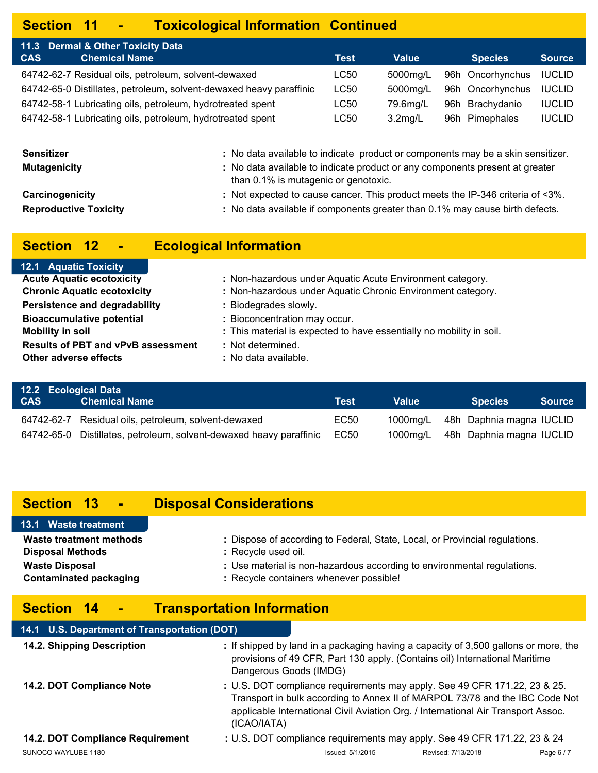# **Section 11 - Toxicological Information Continued**

| 11.3 Dermal & Other Toxicity Data                                   |             |            |                  |               |
|---------------------------------------------------------------------|-------------|------------|------------------|---------------|
| <b>CAS</b><br><b>Chemical Name</b>                                  | <b>Test</b> | Value      | <b>Species</b>   | <b>Source</b> |
| 64742-62-7 Residual oils, petroleum, solvent-dewaxed                | LC50        | 5000mg/L   | 96h Oncorhynchus | <b>IUCLID</b> |
| 64742-65-0 Distillates, petroleum, solvent-dewaxed heavy paraffinic | <b>LC50</b> | 5000mg/L   | 96h Oncorhynchus | <b>IUCLID</b> |
| 64742-58-1 Lubricating oils, petroleum, hydrotreated spent          | LC50        | 79.6ma/L   | 96h Brachydanio  | <b>IUCLID</b> |
| 64742-58-1 Lubricating oils, petroleum, hydrotreated spent          | LC50        | $3.2$ mg/L | 96h Pimephales   | <b>IUCLID</b> |

| Sensitizer                   | : No data available to indicate product or components may be a skin sensitizer.                                      |
|------------------------------|----------------------------------------------------------------------------------------------------------------------|
| <b>Mutagenicity</b>          | : No data available to indicate product or any components present at greater<br>than 0.1% is mutagenic or genotoxic. |
| Carcinogenicity              | : Not expected to cause cancer. This product meets the IP-346 criteria of <3%.                                       |
| <b>Reproductive Toxicity</b> | : No data available if components greater than 0.1% may cause birth defects.                                         |

# **Section 12 - Ecological Information**

| <b>12.1 Aquatic Toxicity</b>              |                                                                      |
|-------------------------------------------|----------------------------------------------------------------------|
| <b>Acute Aquatic ecotoxicity</b>          | : Non-hazardous under Aquatic Acute Environment category.            |
| <b>Chronic Aquatic ecotoxicity</b>        | : Non-hazardous under Aquatic Chronic Environment category.          |
| Persistence and degradability             | : Biodegrades slowly.                                                |
| <b>Bioaccumulative potential</b>          | : Bioconcentration may occur.                                        |
| <b>Mobility in soil</b>                   | : This material is expected to have essentially no mobility in soil. |
| <b>Results of PBT and vPvB assessment</b> | : Not determined.                                                    |
| <b>Other adverse effects</b>              | : No data available.                                                 |
|                                           |                                                                      |

|            | 12.2 Ecological Data                                                |      |       |                                   |
|------------|---------------------------------------------------------------------|------|-------|-----------------------------------|
| <b>CAS</b> | <b>Chemical Name</b>                                                | Test | Value | <b>Species</b><br><b>Source</b>   |
|            | 64742-62-7 Residual oils, petroleum, solvent-dewaxed                | EC50 |       | 1000mg/L 48h Daphnia magna IUCLID |
|            | 64742-65-0 Distillates, petroleum, solvent-dewaxed heavy paraffinic | EC50 |       | 1000mg/L 48h Daphnia magna IUCLID |

# **Section 13 - Disposal Considerations**

|                         | 13.1 Waste treatment          |  |
|-------------------------|-------------------------------|--|
|                         | Waste treatment methods       |  |
| <b>Disposal Methods</b> |                               |  |
| <b>Waste Disposal</b>   |                               |  |
|                         | <b>Contaminated packaging</b> |  |

# **Section 14 - Transportation Information**

| 14.1 U.S. Department of Transportation (DOT) |                        |                                                                                                                                                                                                                                                |                    |          |
|----------------------------------------------|------------------------|------------------------------------------------------------------------------------------------------------------------------------------------------------------------------------------------------------------------------------------------|--------------------|----------|
| 14.2. Shipping Description                   | Dangerous Goods (IMDG) | : If shipped by land in a packaging having a capacity of 3,500 gallons or more, the<br>provisions of 49 CFR, Part 130 apply. (Contains oil) International Maritime                                                                             |                    |          |
| 14.2. DOT Compliance Note                    | (ICAO/IATA)            | : U.S. DOT compliance requirements may apply. See 49 CFR 171.22, 23 & 25.<br>Transport in bulk according to Annex II of MARPOL 73/78 and the IBC Code Not<br>applicable International Civil Aviation Org. / International Air Transport Assoc. |                    |          |
| 14.2. DOT Compliance Requirement             |                        | : U.S. DOT compliance requirements may apply. See 49 CFR 171.22, 23 & 24                                                                                                                                                                       |                    |          |
| SUNOCO WAYLUBE 1180                          |                        | Issued: 5/1/2015                                                                                                                                                                                                                               | Revised: 7/13/2018 | Page 6/7 |